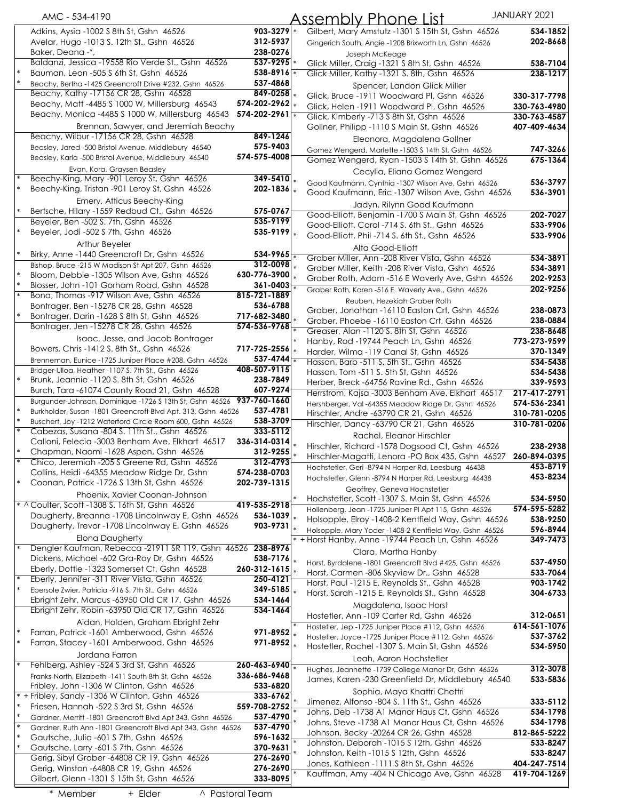|        | AMC - 534-4190                                                                              |                                    | ssembly Phone List،                                                                              | JANUARY 2021             |
|--------|---------------------------------------------------------------------------------------------|------------------------------------|--------------------------------------------------------------------------------------------------|--------------------------|
|        | Adkins, Aysia -1002 S 8th St, Gshn 46526                                                    | $903 - 3279$ *                     | Gilbert, Mary Amstutz -1301 S 15th St, Gshn 46526                                                | 534-1852                 |
|        | Avelar, Hugo -1013 S. 12th St., Gshn 46526                                                  | 312-5937                           | Gingerich South, Angie -1208 Brixworth Ln, Gshn 46526                                            | 202-8668                 |
|        | Baker, Deana -*,                                                                            | 238-0276                           | Joseph McKeage                                                                                   |                          |
|        | Baldanzi, Jessica -19558 Rio Verde St., Gshn 46526                                          | $537 - 9295$ *                     | Glick Miller, Craig -1321 S 8th St, Gshn 46526                                                   | 538-7104                 |
|        | Bauman, Leon -505 S 6th St, Gshn 46526                                                      | 538-8916                           | Glick Miller, Kathy -1321 S. 8th, Gshn 46526                                                     | 238-1217                 |
|        | Beachy, Bertha -1425 Greencroft Drive #232, Gshn 46526                                      | 537-4868                           | Spencer, Landon Glick Miller                                                                     |                          |
|        | Beachy, Kathy -17156 CR 28, Gshn 46528                                                      | $849 - 0258$ $\vert$               | Glick, Bruce -1911 Woodward Pl, Gshn 46526                                                       | 330-317-7798             |
|        | Beachy, Matt -4485 S 1000 W, Millersburg 46543                                              | 574-202-2962                       | Glick, Helen -1911 Woodward PI, Gshn 46526                                                       | 330-763-4980             |
|        | Beachy, Monica -4485 S 1000 W, Millersburg 46543                                            | $574 - 202 - 2961$ $\frac{1}{8}$   | Glick, Kimberly -713 S 8th St, Gshn 46526                                                        | 330-763-4587             |
|        | Brennan, Sawyer, and Jeremiah Beachy                                                        |                                    | Gollner, Philipp -1110 S Main St, Gshn 46526                                                     | 407-409-4634             |
|        | Beachy, Wilbur -17156 CR 28, Gshn 46528                                                     | 849-1246                           | Eleonora, Magdalena Gollner                                                                      |                          |
|        | Beasley, Jared -500 Bristol Avenue, Middlebury 46540                                        | 575-9403                           | Gomez Wengerd, Marlette -1503 \$ 14th St, Gshn 46526                                             | 747-3266                 |
|        | Beasley, Karla -500 Bristol Avenue, Middlebury 46540                                        | 574-575-4008                       | Gomez Wengerd, Ryan -1503 S 14th St, Gshn 46526                                                  | 675-1364                 |
|        | Evan, Kora, Graysen Beasley                                                                 |                                    | Cecylia, Eliana Gomez Wengerd                                                                    |                          |
|        | Beechy-King, Mary -901 Leroy St, Gshn 46526                                                 | $349 - 5410$ .                     | Good Kaufmann, Cynthia -1307 Wilson Ave, Gshn 46526                                              | 536-3797                 |
|        | Beechy-King, Tristan -901 Leroy St, Gshn 46526                                              | 202-1836 $\vert_*$                 | Good Kaufmann, Eric -1307 Wilson Ave, Gshn 46526                                                 | 536-3901                 |
|        | Emery, Atticus Beechy-King                                                                  |                                    | Jadyn, Rilynn Good Kaufmann                                                                      |                          |
|        | Bertsche, Hilary -1559 Redbud Ct., Gshn 46526                                               | 575-0767                           | Good-Elliott, Benjamin -1700 S Main St, Gshn 46526                                               | 202-7027                 |
|        | Beyeler, Ben -502 S. 7th, Gshn 46526                                                        | 535-9199                           | Good-Elliott, Carol -714 S. 6th St., Gshn 46526                                                  | 533-9906                 |
|        | Beyeler, Jodi -502 S 7th, Gshn 46526                                                        | 535-9199                           | Good-Elliott, Phil -714 S. 6th St., Gshn 46526                                                   | 533-9906                 |
|        | Arthur Beyeler                                                                              |                                    | Alta Good-Elliott                                                                                |                          |
|        | Birky, Anne -1440 Greencroft Dr, Gshn 46526                                                 | $534 - 9965 +$                     | Graber Miller, Ann -208 River Vista, Gshn 46526                                                  | 534-3891                 |
| $\ast$ | Bishop, Bruce -215 W Madison St Apt 207, Gshn 46526                                         | $312 - 0098$ *<br>630-776-3900     | Graber Miller, Keith -208 River Vista, Gshn 46526                                                | 534-3891                 |
|        | Bloom, Debbie -1305 Wilson Ave, Gshn 46526                                                  | $361 - 0403$ $\frac{1}{8}$         | Graber Roth, Adam -516 E Waverly Ave, Gshn 46526                                                 | 202-9253                 |
|        | Blosser, John -101 Gorham Road, Gshn 46528<br>Bona, Thomas -917 Wilson Ave, Gshn 46526      | 815-721-1889                       | Graber Roth, Karen -516 E. Waverly Ave., Gshn 46526                                              | 202-9256                 |
|        | Bontrager, Ben -15278 CR 28, Gshn 46528                                                     | 536-6788                           | Reuben, Hezekiah Graber Roth                                                                     |                          |
|        | Bontrager, Darin -1628 S 8th St, Gshn 46526                                                 | 717-682-3480                       | Graber, Jonathan -16110 Easton Crt, Gshn 46526                                                   | 238-0873                 |
|        | Bontrager, Jen -15278 CR 28, Gshn 46526                                                     | 574-536-9768                       | Graber, Phoebe -16110 Easton Crt, Gshn 46526                                                     | 238-0884                 |
|        | Isaac, Jesse, and Jacob Bontrager                                                           |                                    | Greaser, Alan -1120 S. 8th St, Gshn 46526                                                        | 238-8648                 |
|        | Bowers, Chris -1412 S. 8th St., Gshn 46526                                                  | 717-725-2556 $\vert_*$             | Hanby, Rod -19744 Peach Ln, Gshn 46526                                                           | 773-273-9599             |
|        | Brenneman, Eunice -1725 Juniper Place #208, Gshn 46526                                      | 537-4744 $\frac{1}{*}$             | Harder, Wilma -119 Canal St, Gshn 46526                                                          | 370-1349                 |
|        | Bridger-Ulloa, Heather -1107 S. 7th St., Gshn 46526                                         | 408-507-9115                       | Hassan, Barb -511 S. 5th St., Gshn 46526                                                         | 534-5438                 |
|        | Brunk, Jeannie -1120 S. 8th St, Gshn 46526                                                  | 238-7849                           | Hassan, Tom -511 S. 5th St, Gshn 46526                                                           | 534-5438                 |
|        | Burch, Tara -61074 County Road 21, Gshn 46528                                               | 607-9274                           | Herber, Breck -64756 Ravine Rd., Gshn 46526<br>Herrstrom, Kajsa -3003 Benham Ave, Elkhart 46517  | 339-9593<br>217-417-2791 |
|        | Burgunder-Johnson, Dominique -1726 \$ 13th St, Gshn 46526 937-760-1660                      |                                    |                                                                                                  | 574-536-2341             |
|        | Burkholder, Susan -1801 Greencroft Blvd Apt. 313, Gshn 46526                                | 537-4781                           | Hershberger, Val -64355 Meadow Ridge Dr, Gshn 46526<br>Hirschler, Andre -63790 CR 21, Gshn 46526 | 310-781-0205             |
| $\ast$ | Buschert, Joy -1212 Waterford Circle Room 600, Gshn 46526                                   | 538-3709                           | Hirschler, Dancy -63790 CR 21, Gshn 46526                                                        | 310-781-0206             |
|        | Cabezas, Susana -804 S. 11th St., Gshn 46526                                                | 333-5112                           | Rachel, Eleanor Hirschler                                                                        |                          |
|        | Calloni, Felecia -3003 Benham Ave, Elkhart 46517                                            | 336-314-0314                       | Hirschler, Richard -1578 Dogsood Ct, Gshn 46526                                                  | 238-2938                 |
|        | Chapman, Naomi -1628 Aspen, Gshn 46526                                                      | 312-9255                           | Hirschler-Magatti, Lenora -PO Box 435, Gshn 46527 260-894-0395                                   |                          |
|        | Chico, Jeremiah -205 S Greene Rd, Gshn 46526                                                | 312-4793                           | Hochstetler, Geri -8794 N Harper Rd, Leesburg 46438                                              | 453-8719                 |
|        | Collins, Heidi -64355 Meadow Ridge Dr, Gshn                                                 | 574-238-0703                       | Hochstetler, Glenn -8794 N Harper Rd, Leesburg 46438                                             | 453-8234                 |
| $\ast$ | Coonan, Patrick -1726 S 13th St, Gshn 46526                                                 | 202-739-1315                       | Geoffrey, Geneva Hochstetler                                                                     |                          |
|        | Phoenix, Xavier Coonan-Johnson                                                              |                                    | Hochstetler, Scott -1307 S. Main St, Gshn 46526                                                  | 534-5950                 |
|        | * ^Coulter, Scott -1308 S. 16th St, Gshn 46526                                              | 419-535-2918                       | Hollenberg, Jean -1725 Juniper PI Apt 115, Gshn 46526                                            | 574-595-5282             |
|        | Daugherty, Breanna -1708 Lincolnway E, Gshn 46526                                           | 536-1039 .                         | Holsopple, Elroy -1408-2 Kentfield Way, Gshn 46526                                               | 538-9250                 |
|        | Daugherty, Trevor -1708 Lincolnway E, Gshn 46526                                            | $903 - 9731$                       | Holsopple, Mary Yoder -1408-2 Kentfield Way, Gshn 46526                                          | 596-8944                 |
|        | Elona Daugherty                                                                             |                                    | * + Horst Hanby, Anne -19744 Peach Ln, Gshn 46526                                                | 349-7473                 |
|        | Dengler Kaufman, Rebecca -21911 SR 119, Gshn 46526 238-8976                                 |                                    | Clara, Martha Hanby                                                                              |                          |
|        | Dickens, Michael -602 Gra-Roy Dr, Gshn 46526                                                | $538 - 7176$                       | Horst, Byrdalene -1801 Greencroft Blvd #425, Gshn 46526                                          | 537-4950                 |
|        | Eberly, Dottie -1323 Somerset Ct, Gshn 46528                                                | $260 - 312 - 1615$                 | Horst, Carmen -806 Skyview Dr., Gshn 46528                                                       | 533-7064                 |
|        | Eberly, Jennifer -311 River Vista, Gshn 46526                                               | 250-4121                           | Horst, Paul -1215 E. Reynolds St., Gshn 46528                                                    | 903-1742                 |
|        | Ebersole Zwier, Patricia -916 S. 7th St., Gshn 46526                                        | $349 - 5185$                       | Horst, Sarah -1215 E. Reynolds St., Gshn 46528                                                   | 304-6733                 |
|        | Ebright Zehr, Marcus -63950 Old CR 17, Gshn 46526                                           | 534-1464<br>534-1464               | Magdalena, Isaac Horst                                                                           |                          |
|        | Ebright Zehr, Robin -63950 Old CR 17, Gshn 46526                                            |                                    | Hostetler, Ann -109 Carter Rd, Gshn 46526                                                        | 312-0651                 |
|        | Aidan, Holden, Graham Ebright Zehr                                                          |                                    | Hostetler, Jep -1725 Juniper Place #112, Gshn 46526                                              | 614-561-1076             |
|        | Farran, Patrick -1601 Amberwood, Gshn 46526                                                 | $971 - 8952$ .<br>$971 - 8952$ $*$ | Hostetler, Joyce -1725 Juniper Place #112, Gshn 46526                                            | 537-3762                 |
|        | Farran, Stacey -1601 Amberwood, Gshn 46526                                                  |                                    | Hostetler, Rachel -1307 S. Main St, Gshn 46526                                                   | 534-5950                 |
|        | Jordana Farran                                                                              |                                    | Leah, Aaron Hochstetler                                                                          |                          |
|        | Fehlberg, Ashley -524 S 3rd St, Gshn 46526                                                  | $260 - 463 - 6940$                 | Hughes, Jeannette -1739 College Manor Dr, Gshn 46526                                             | 312-3078                 |
|        | Franks-North, Elizabeth -1411 South 8th St, Gshn 46526                                      | 336-686-9468<br>533-6820           | James, Karen -230 Greenfield Dr, Middlebury 46540                                                | 533-5836                 |
|        | Fribley, John -1306 W Clinton, Gshn 46526<br>* + Fribley, Sandy -1306 W Clinton, Gshn 46526 | 333-6762                           | Sophia, Maya Khattri Chettri                                                                     |                          |
| $\ast$ | Friesen, Hannah -522 S 3rd St, Gshn 46526                                                   | 559-708-2752                       | Jimenez, Alfonso -804 S. 11th St., Gshn 46526                                                    | 333-5112                 |
|        | Gardner, Merritt -1801 Greencroft Blvd Apt 343, Gshn 46526                                  | 537-4790                           | Johns, Deb -1738 A1 Manor Haus Ct, Gshn 46526                                                    | 534-1798                 |
|        | Gardner, Ruth Ann -1801 Greencroft Blvd Apt 343, Gshn 46526                                 | 537-4790                           | Johns, Steve -1738 A1 Manor Haus Ct, Gshn 46526                                                  | 534-1798                 |
| $\ast$ | Gautsche, Julia -601 S 7th, Gshn 46526                                                      | 596-1632                           | Johnson, Becky -20264 CR 26, Gshn 46528                                                          | 812-865-5222             |
| $\ast$ | Gautsche, Larry -601 S 7th, Gshn 46526                                                      | 370-9631                           | Johnston, Deborah -1015 \$ 12th, Gshn 46526                                                      | 533-8247                 |
|        | Gerig, Sibyl Graber - 64808 CR 19, Gshn 46526                                               | 276-2690                           | Johnston, Keith -1015 S 12th, Gshn 46526                                                         | 533-8247                 |
|        | Gerig, Winston -64808 CR 19, Gshn 46526                                                     | 276-2690                           | Jones, Kathleen -1111 S 8th St, Gshn 46526                                                       | 404-247-7514             |
|        | Gilbert, Glenn -1301 S 15th St, Gshn 46526                                                  | 333-8095                           | Kauffman, Amy -404 N Chicago Ave, Gshn 46528                                                     | 419-704-1269             |
|        |                                                                                             |                                    |                                                                                                  |                          |

\* Member + Elder ^ Pastoral Team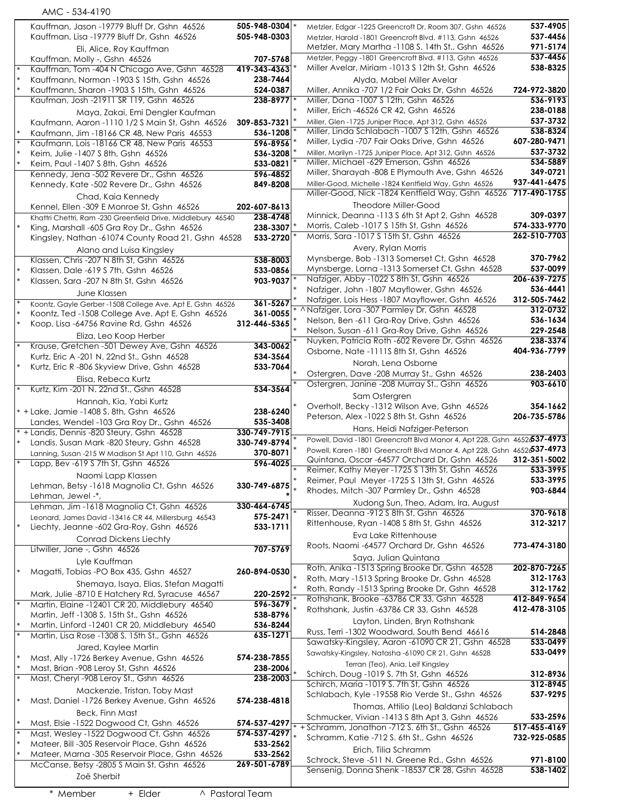|        | AMC - 534-4190                                                                                              |                            |                                                                                                                         |                          |
|--------|-------------------------------------------------------------------------------------------------------------|----------------------------|-------------------------------------------------------------------------------------------------------------------------|--------------------------|
|        | Kauffman, Jason -19779 Bluff Dr, Gshn 46526                                                                 | 505-948-0304 *             | Metzler, Edgar -1225 Greencroft Dr, Room 307, Gshn 46526                                                                | 537-4905                 |
|        | Kauffman, Lisa -19779 Bluff Dr, Gshn 46526                                                                  | 505-948-0303               | Metzler, Harold -1801 Greencroft Blvd. #113, Gshn 46526                                                                 | 537-4456                 |
|        | Eli, Alice, Roy Kauffman                                                                                    |                            | Metzler, Mary Martha -1108 S. 14th St., Gshn 46526                                                                      | 971-5174                 |
|        | Kauffman, Molly -, Gshn 46526                                                                               | 707-5768                   | Metzler, Peggy -1801 Greencroft Blvd. #113, Gshn 46526                                                                  | 537-4456                 |
|        | Kauffman, Tom -404 N Chicago Ave, Gshn 46528                                                                | 419-343-4363               | Miller Avelar, Miriam -1013 \$ 12th St, Gshn 46526                                                                      | 538-8325                 |
|        | Kauffmann, Norman -1903 S 15th, Gshn 46526                                                                  | 238-7464                   | Alyda, Mabel Miller Avelar                                                                                              |                          |
|        | Kauffmann, Sharon -1903 S 15th, Gshn 46526<br>Kaufman, Josh -21911 SR 119, Gshn 46526                       | 524-0387<br>$238 - 8977$ * | Miller, Annika -707 1/2 Fair Oaks Dr, Gshn 46526<br>Miller, Dana - 1007 \$ 12th, Gshn 46526                             | 724-972-3820<br>536-9193 |
|        | Maya, Zakai, Emi Dengler Kaufman                                                                            |                            | Miller, Erich -46526 CR 42, Gshn 46526                                                                                  | 238-0188                 |
|        | Kaufmann, Aaron -1110 1/2 S Main St, Gshn 46526                                                             | 309-853-7321               | Miller, Glen -1725 Juniper Place, Apt 312, Gshn 46526                                                                   | 537-3732                 |
|        | Kaufmann, Jim -18166 CR 48, New Paris 46553                                                                 | 536-1208                   | Miller, Linda Schlabach -1007 S 12th, Gshn 46526                                                                        | 538-8324                 |
|        | Kaufmann, Lois -18166 CR 48, New Paris 46553                                                                | 596-8956                   | Miller, Lydia -707 Fair Oaks Drive, Gshn 46526                                                                          | 607-280-9471             |
| $\ast$ | Keim, Julie -1407 S 8th, Gshn 46526                                                                         | 536-3208                   | Miller, Marilyn -1725 Juniper Place, Apt 312, Gshn 46526                                                                | 537-3732                 |
|        | Keim, Paul -1407 S 8th, Gshn 46526                                                                          | 533-0821                   | Miller, Michael -629 Emerson, Gshn 46526                                                                                | 534-5889                 |
|        | Kennedy, Jena -502 Revere Dr., Gshn 46526                                                                   | 596-4852                   | Miller, Sharayah -808 E Plymouth Ave, Gshn 46526                                                                        | 349-0721                 |
|        | Kennedy, Kate -502 Revere Dr., Gshn 46526                                                                   | 849-8208                   | Miller-Good, Michelle -1824 Kentfield Way, Gshn 46526<br>Miller-Good, Nick -1824 Kentfield Way, Gshn 46526 717-490-1755 | 937-441-6475             |
|        | Chad, Kaia Kennedy                                                                                          |                            | Theodore Miller-Good                                                                                                    |                          |
|        | Kennel, Ellen -309 E Monroe St, Gshn 46526                                                                  | 202-607-8613<br>238-4748   | Minnick, Deanna -113 S 6th St Apt 2, Gshn 46528                                                                         | 309-0397                 |
|        | Khattri Chettri, Ram -230 Greenfield Drive, Middlebury 46540<br>King, Marshall -605 Gra Roy Dr., Gshn 46526 | 238-3307                   | Morris, Caleb -1017 S 15th St, Gshn 46526                                                                               | 574-333-9770             |
|        | Kingsley, Nathan -61074 County Road 21, Gshn 46528                                                          | 533-2720                   | Morris, Sara - 1017 S 15th St, Gshn 46526                                                                               | 262-510-7703             |
|        | Alano and Luisa Kingsley                                                                                    |                            | Avery, Rylan Morris                                                                                                     |                          |
|        | Klassen, Chris - 207 N 8th St, Gshn 46526                                                                   | 538-8003                   | Mynsberge, Bob -1313 Somerset Ct, Gshn 46528                                                                            | 370-7962                 |
|        | Klassen, Dale -619 S 7th, Gshn 46526                                                                        | 533-0856                   | Mynsberge, Lorna -1313 Somerset Ct, Gshn 46528                                                                          | 537-0099                 |
| $\ast$ | Klassen, Sara -207 N 8th St, Gshn 46526                                                                     | 903-9037                   | Nafziger, Abby -1022 S 8th St, Gshn 46526                                                                               | 206-639-7275             |
|        | June Klassen                                                                                                |                            | Nafziger, John -1807 Mayflower, Gshn 46526                                                                              | 536-4441                 |
|        | Koontz, Gayle Gerber -1508 College Ave. Apt E, Gshn 46526                                                   | 361-5267                   | Nafziger, Lois Hess -1807 Mayflower, Gshn 46526                                                                         | 312-505-7462             |
|        | Koontz, Ted -1508 College Ave. Apt E, Gshn 46526                                                            | 361-0055                   | * ^ Nafziger, Lora -307 Parmley Dr, Gshn 46528                                                                          | 312-0732                 |
| $\ast$ | Koop, Lisa -64756 Ravine Rd, Gshn 46526                                                                     | 312-446-5365               | Nelson, Ben -611 Gra-Roy Drive, Gshn 46526<br>Nelson, Susan -611 Gra-Roy Drive, Gshn 46526                              | 536-1634<br>229-2548     |
|        | Eliza, Leo Koop Herber                                                                                      |                            | Nuyken, Patricia Roth -602 Revere Dr, Gshn 46526                                                                        | 238-3374                 |
|        | Krause, Gretchen -501 Dewey Ave, Gshn 46526                                                                 | 343-0062                   | Osborne, Nate -1111S 8th St, Gshn 46526                                                                                 | 404-936-7799             |
|        | Kurtz, Eric A -201 N. 22nd St., Gshn 46528                                                                  | 534-3564                   | Norah, Lena Osborne                                                                                                     |                          |
|        | Kurtz, Eric R -806 Skyview Drive, Gshn 46528                                                                | 533-7064                   | Ostergren, Dave -208 Murray St., Gshn 46526                                                                             | 238-2403                 |
|        | Elisa, Rebeca Kurtz                                                                                         |                            | Ostergren, Janine -208 Murray St., Gshn 46526                                                                           | 903-6610                 |
|        | Kurtz, Kim -201 N. 22nd St., Gshn 46528                                                                     | 534-3564                   | Sam Ostergren                                                                                                           |                          |
|        | Hannah, Kia, Yabi Kurtz                                                                                     |                            | Overholt, Becky -1312 Wilson Ave, Gshn 46526                                                                            | 354-1662                 |
|        | * + Lake, Jamie -1408 S. 8th, Gshn 46526                                                                    | 238-6240                   | Peterson, Alex -1022 S 8th St, Gshn 46526                                                                               | 206-735-5786             |
|        | Landes, Wendel -103 Gra Roy Dr., Gshn 46526<br>* + Landis, Dennis -820 Steury, Gshn 46528                   | 535-3408<br>330-749-7915   | Hans, Heidi Nafziger-Peterson                                                                                           |                          |
|        | Landis, Susan Mark -820 Steury, Gshn 46528                                                                  | 330-749-8794               | Powell, David -1801 Greencroft Blvd Manor 4, Apt 228, Gshn 4652637-4973                                                 |                          |
|        | Lanning, Susan -215 W Madison St Apt 110, Gshn 46526                                                        | 370-8071                   | Powell, Karen - 1801 Greencroft Blvd Manor 4, Apt 228, Gshn 4652637-4973                                                |                          |
|        | Lapp, Bev -619 S 7th St, Gshn 46526                                                                         | 596-4025                   | Quintana, Oscar -64577 Orchard Dr, Gshn 46526                                                                           | 312-351-5002             |
|        | Naomi Lapp Klassen                                                                                          |                            | Reimer, Kathy Meyer -1725 S 13th St, Gshn 46526                                                                         | 533-3995                 |
|        | Lehman, Betsy -1618 Magnolia Ct, Gshn 46526                                                                 | 330-749-6875               | Reimer, Paul Meyer -1725 S 13th St, Gshn 46526                                                                          | 533-3995<br>903-6844     |
|        | Lehman, Jewel -*,                                                                                           |                            | Rhodes, Mitch -307 Parmley Dr., Gshn 46528                                                                              |                          |
|        | Lehman, Jim -1618 Magnolia Ct, Gshn 46526                                                                   | 330-464-6745               | Xudong Sun, Theo, Adam, Ira, August<br>Risser, Deanna -912 S 8th St, Gshn 46526                                         | 370-9618                 |
|        | Leonard, James David -13416 CR 44, Millersburg 46543                                                        | 575-2471                   | Rittenhouse, Ryan -1408 S 8th St, Gshn 46526                                                                            | 312-3217                 |
|        | Liechty, Jeanne -602 Gra-Roy, Gshn 46526                                                                    | 533-1711                   | Eva Lake Rittenhouse                                                                                                    |                          |
|        | <b>Conrad Dickens Liechty</b>                                                                               |                            | Roots, Naomi -64577 Orchard Dr, Gshn 46526                                                                              | 773-474-3180             |
|        | Litwiller, Jane -, Gshn 46526                                                                               | 707-5769                   | Saya, Julian Quintana                                                                                                   |                          |
|        | Lyle Kauffman                                                                                               |                            | Roth, Anika -1513 Spring Brooke Dr, Gshn 46528                                                                          | 202-870-7265             |
|        | Magatti, Tobias - PO Box 435, Gshn 46527                                                                    | 260-894-0530               | Roth, Mary -1513 Spring Brooke Dr, Gshn 46528                                                                           | 312-1763                 |
|        | Shemaya, Isaya, Elias, Stefan Magatti                                                                       |                            | Roth, Randy -1513 Spring Brooke Dr, Gshn 46528                                                                          | 312-1762                 |
|        | Mark, Julie -8710 E Hatchery Rd, Syracuse 46567<br>Martin, Elaine -12401 CR 20, Middlebury 46540            | 220-2592<br>596-3679       | Rothshank, Brooke -63786 CR 33, Gshn 46528                                                                              | 412-849-9654             |
|        | Martin, Jeff -1308 S. 15th St., Gshn 46526                                                                  | 538-8796                   | Rothshank, Justin -63786 CR 33, Gshn 46528                                                                              | 412-478-3105             |
|        | Martin, Linford -12401 CR 20, Middlebury 46540                                                              | 536-8244                   | Layton, Linden, Bryn Rothshank                                                                                          |                          |
|        | Martin, Lisa Rose -1308 S. 15th St., Gshn 46526                                                             | 635-1271                   | Russ, Terri-1302 Woodward, South Bend 46616                                                                             | 514-2848                 |
|        | Jared, Kaylee Martin                                                                                        |                            | Sawatsky-Kingsley, Aaron -61090 CR 21, Gshn 46528                                                                       | 533-0499                 |
|        | Mast, Ally -1726 Berkey Avenue, Gshn 46526                                                                  | 574-238-7855               | Sawatsky-Kingsley, Natasha -61090 CR 21, Gshn 46528                                                                     | 533-0499                 |
|        | Mast, Brian -908 Leroy St, Gshn 46526                                                                       | 238-2006                   | Terran (Teo), Ania, Leif Kingsley                                                                                       |                          |
|        | Mast, Cheryl -908 Leroy St., Gshn 46526                                                                     | 238-2003                   | Schirch, Doug - 1019 S. 7th St, Gshn 46526<br>Schirch, Maria - 1019 S. 7th St, Gshn 46526                               | 312-8936<br>312-8945     |
|        | Mackenzie, Tristan, Toby Mast                                                                               |                            | Schlabach, Kyle -19558 Rio Verde St., Gshn 46526                                                                        | 537-9295                 |
|        | Mast, Daniel -1726 Berkey Avenue, Gshn 46526                                                                | 574-238-4818               | Thomas, Attilio (Leo) Baldanzi Schlabach                                                                                |                          |
|        | Beck, Finn Mast                                                                                             |                            | Schmucker, Vivian -1413 S 8th Apt 3, Gshn 46526                                                                         | 533-2596                 |
| $\ast$ | Mast, Elsie -1522 Dogwood Ct, Gshn 46526                                                                    | 574-537-4297               | * + Schramm, Jonathon -712 S. 6th St., Gshn 46526                                                                       | 517-455-4169             |
|        | Mast, Wesley -1522 Dogwood Ct, Gshn 46526                                                                   | 574-537-4297               | Schramm, Katie -712 S. 6th St., Gshn 46526                                                                              | 732-925-0585             |
|        | Mateer, Bill -305 Reservoir Place, Gshn 46526                                                               | 533-2562                   | Erich, Tilia Schramm                                                                                                    |                          |
|        | Mateer, Marna -305 Reservoir Place, Gshn 46526                                                              | 533-2562<br>269-501-6789   | Schrock, Steve -511 N. Greene Rd., Gshn 46526                                                                           | 971-8100                 |
|        | McCanse, Betsy -2805 S Main St, Gshn 46526                                                                  |                            | Sensenig, Donna Shenk -18537 CR 28, Gshn 46528                                                                          | 538-1402                 |
|        | Zoë Sherbit                                                                                                 |                            |                                                                                                                         |                          |
|        | + Elder<br>* Member                                                                                         | ^ Pastoral Team            |                                                                                                                         |                          |